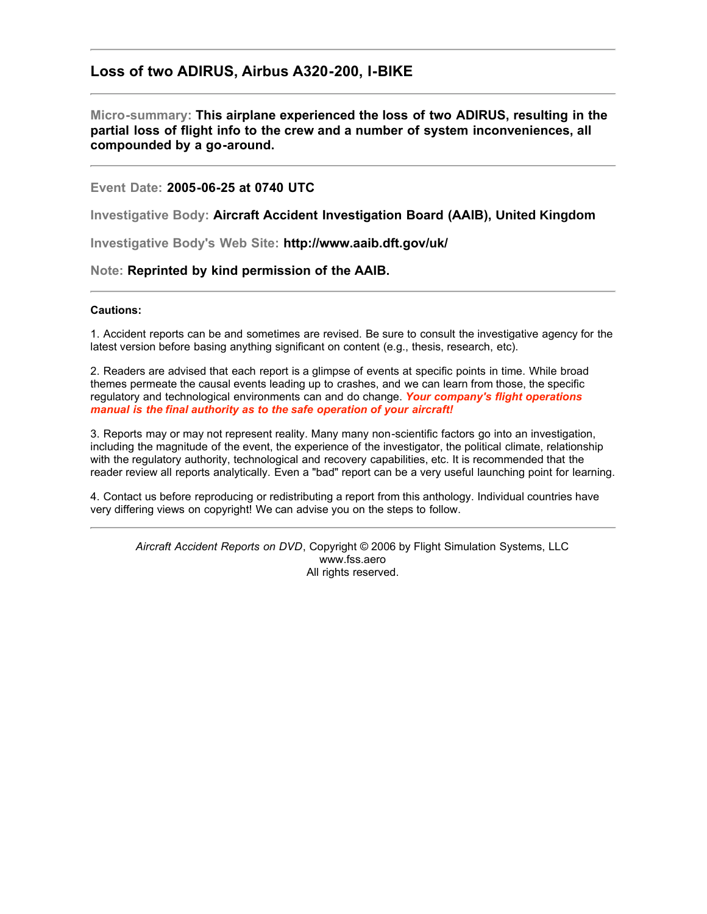# **Loss of two ADIRUS, Airbus A320-200, I-BIKE**

# **Micro-summary: This airplane experienced the loss of two ADIRUS, resulting in the partial loss of flight info to the crew and a number of system inconveniences, all compounded by a go-around.**

### **Event Date: 2005-06-25 at 0740 UTC**

**Investigative Body: Aircraft Accident Investigation Board (AAIB), United Kingdom**

**Investigative Body's Web Site: http://www.aaib.dft.gov/uk/**

#### **Note: Reprinted by kind permission of the AAIB.**

#### **Cautions:**

1. Accident reports can be and sometimes are revised. Be sure to consult the investigative agency for the latest version before basing anything significant on content (e.g., thesis, research, etc).

2. Readers are advised that each report is a glimpse of events at specific points in time. While broad themes permeate the causal events leading up to crashes, and we can learn from those, the specific regulatory and technological environments can and do change. *Your company's flight operations manual is the final authority as to the safe operation of your aircraft!*

3. Reports may or may not represent reality. Many many non-scientific factors go into an investigation, including the magnitude of the event, the experience of the investigator, the political climate, relationship with the regulatory authority, technological and recovery capabilities, etc. It is recommended that the reader review all reports analytically. Even a "bad" report can be a very useful launching point for learning.

4. Contact us before reproducing or redistributing a report from this anthology. Individual countries have very differing views on copyright! We can advise you on the steps to follow.

*Aircraft Accident Reports on DVD*, Copyright © 2006 by Flight Simulation Systems, LLC www.fss.aero All rights reserved.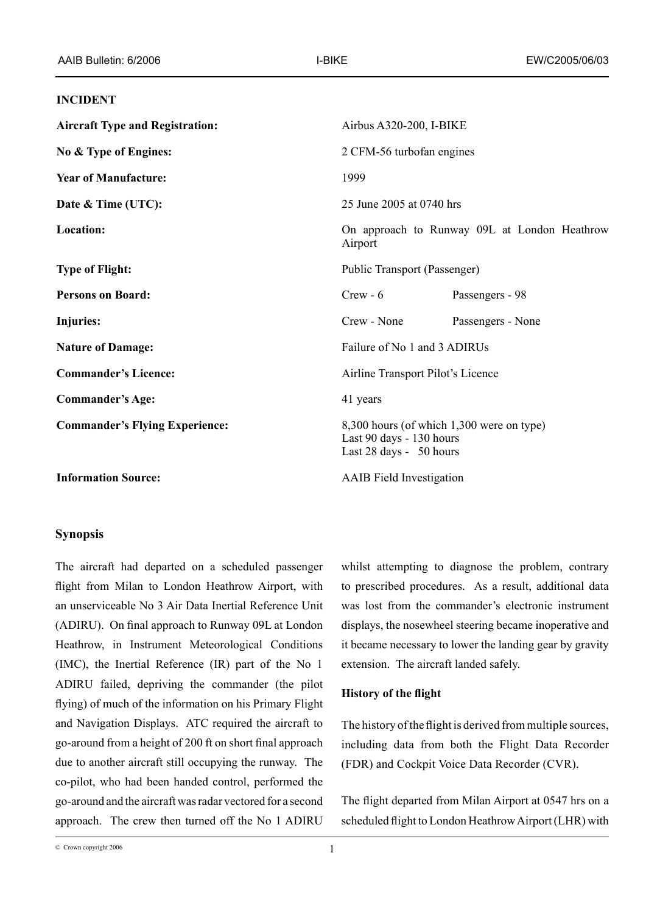#### **INCIDENT**

| <b>Aircraft Type and Registration:</b> | Airbus A320-200, I-BIKE                                                                          |                   |
|----------------------------------------|--------------------------------------------------------------------------------------------------|-------------------|
| No & Type of Engines:                  | 2 CFM-56 turbofan engines                                                                        |                   |
| <b>Year of Manufacture:</b>            | 1999                                                                                             |                   |
| Date & Time (UTC):                     | 25 June 2005 at 0740 hrs                                                                         |                   |
| Location:                              | On approach to Runway 09L at London Heathrow<br>Airport                                          |                   |
| <b>Type of Flight:</b>                 | Public Transport (Passenger)                                                                     |                   |
| <b>Persons on Board:</b>               | $Crew - 6$                                                                                       | Passengers - 98   |
| <b>Injuries:</b>                       | Crew - None                                                                                      | Passengers - None |
| <b>Nature of Damage:</b>               | Failure of No 1 and 3 ADIRUs                                                                     |                   |
| <b>Commander's Licence:</b>            | Airline Transport Pilot's Licence                                                                |                   |
| <b>Commander's Age:</b>                | 41 years                                                                                         |                   |
| <b>Commander's Flying Experience:</b>  | 8,300 hours (of which 1,300 were on type)<br>Last 90 days - 130 hours<br>Last 28 days - 50 hours |                   |
| <b>Information Source:</b>             | <b>AAIB</b> Field Investigation                                                                  |                   |

#### **Synopsis**

The aircraft had departed on a scheduled passenger flight from Milan to London Heathrow Airport, with an unserviceable No 3 Air Data Inertial Reference Unit (ADIRU). On final approach to Runway 09L at London Heathrow, in Instrument Meteorological Conditions (IMC), the Inertial Reference (IR) part of the No 1 ADIRU failed, depriving the commander (the pilot flying) of much of the information on his Primary Flight and Navigation Displays. ATC required the aircraft to go-around from a height of 200 ft on short final approach due to another aircraft still occupying the runway. The co-pilot, who had been handed control, performed the go-around and the aircraft was radar vectored for a second approach. The crew then turned off the No 1 ADIRU

whilst attempting to diagnose the problem, contrary to prescribed procedures. As a result, additional data was lost from the commander's electronic instrument displays, the nosewheel steering became inoperative and it became necessary to lower the landing gear by gravity extension. The aircraft landed safely.

### **History of the flight**

The history of the flight is derived from multiple sources, including data from both the Flight Data Recorder (FDR) and Cockpit Voice Data Recorder (CVR).

The flight departed from Milan Airport at 0547 hrs on a scheduled flight to London Heathrow Airport (LHR) with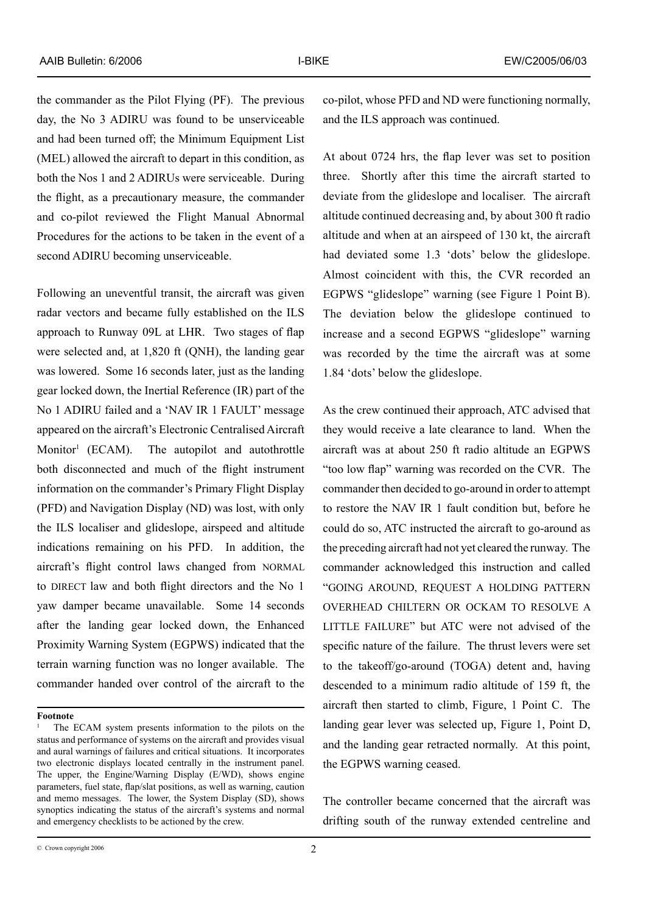the commander as the Pilot Flying (PF). The previous day, the No 3 ADIRU was found to be unserviceable and had been turned off; the Minimum Equipment List (MEL) allowed the aircraft to depart in this condition, as both the Nos 1 and 2 ADIRUs were serviceable. During the flight, as a precautionary measure, the commander and co-pilot reviewed the Flight Manual Abnormal Procedures for the actions to be taken in the event of a second ADIRU becoming unserviceable.

Following an uneventful transit, the aircraft was given radar vectors and became fully established on the ILS approach to Runway 09L at LHR. Two stages of flap were selected and, at 1,820 ft (QNH), the landing gear was lowered. Some 16 seconds later, just as the landing gear locked down, the Inertial Reference (IR) part of the No 1 ADIRU failed and a 'NAV IR 1 FAULT' message appeared on the aircraft's Electronic Centralised Aircraft Monitor (ECAM). The autopilot and autothrottle both disconnected and much of the flight instrument information on the commander's Primary Flight Display (PFD) and Navigation Display (ND) was lost, with only the ILS localiser and glideslope, airspeed and altitude indications remaining on his PFD. In addition, the aircraft's flight control laws changed from NORMAL to DIRECT law and both flight directors and the No 1 yaw damper became unavailable. Some 14 seconds after the landing gear locked down, the Enhanced Proximity Warning System (EGPWS) indicated that the terrain warning function was no longer available. The commander handed over control of the aircraft to the

co-pilot, whose PFD and ND were functioning normally, and the ILS approach was continued.

At about 0724 hrs, the flap lever was set to position three. Shortly after this time the aircraft started to deviate from the glideslope and localiser. The aircraft altitude continued decreasing and, by about 300 ft radio altitude and when at an airspeed of 130 kt, the aircraft had deviated some 1.3 'dots' below the glideslope. Almost coincident with this, the CVR recorded an EGPWS "glideslope" warning (see Figure 1 Point B). The deviation below the glideslope continued to increase and a second EGPWS "glideslope" warning was recorded by the time the aircraft was at some 1.84 'dots' below the glideslope.

As the crew continued their approach, ATC advised that they would receive a late clearance to land. When the aircraft was at about 250 ft radio altitude an EGPWS "too low flap" warning was recorded on the CVR. The commander then decided to go-around in order to attempt to restore the NAV IR 1 fault condition but, before he could do so, ATC instructed the aircraft to go-around as the preceding aircraft had not yet cleared the runway. The commander acknowledged this instruction and called "GOING AROUND, REQUEST A HOLDING PATTERN OVERHEAD CHILTERN OR OCKAM TO RESOLVE A LITTLE FAILURE" but ATC were not advised of the specific nature of the failure. The thrust levers were set to the takeoff/go-around (TOGA) detent and, having descended to a minimum radio altitude of 159 ft, the aircraft then started to climb, Figure, 1 Point C. The landing gear lever was selected up, Figure 1, Point D, and the landing gear retracted normally. At this point, the EGPWS warning ceased.

The controller became concerned that the aircraft was drifting south of the runway extended centreline and

**Footnote**

The ECAM system presents information to the pilots on the status and performance of systems on the aircraft and provides visual and aural warnings of failures and critical situations. It incorporates two electronic displays located centrally in the instrument panel. The upper, the Engine/Warning Display (E/WD), shows engine parameters, fuel state, flap/slat positions, as well as warning, caution and memo messages. The lower, the System Display (SD), shows synoptics indicating the status of the aircraft's systems and normal and emergency checklists to be actioned by the crew.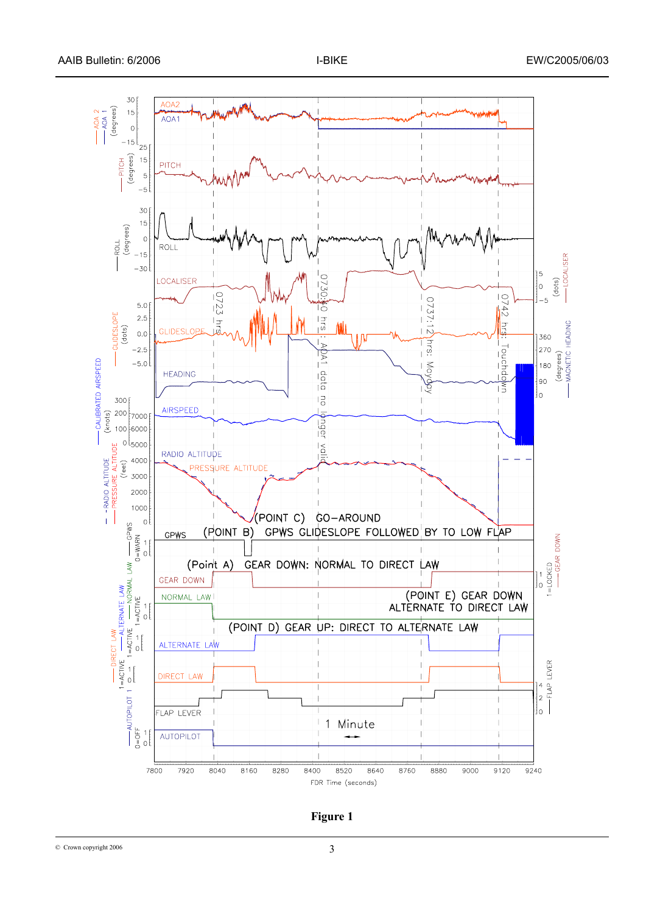

**Figure 1**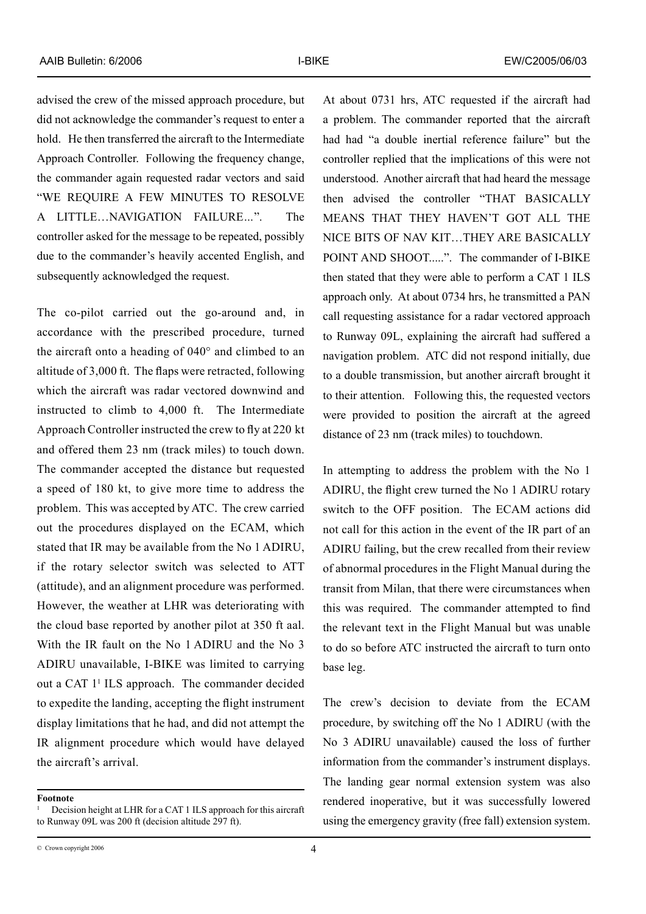advised the crew of the missed approach procedure, but did not acknowledge the commander's request to enter a hold. He then transferred the aircraft to the Intermediate Approach Controller. Following the frequency change, the commander again requested radar vectors and said "we require a few minutes to resolve a little…navigation failure*…*". The controller asked for the message to be repeated, possibly due to the commander's heavily accented English, and subsequently acknowledged the request.

The co-pilot carried out the go-around and, in accordance with the prescribed procedure, turned the aircraft onto a heading of 040° and climbed to an altitude of 3,000 ft. The flaps were retracted, following which the aircraft was radar vectored downwind and instructed to climb to 4,000 ft. The Intermediate Approach Controller instructed the crew to fly at 220 kt and offered them 23 nm (track miles) to touch down. The commander accepted the distance but requested a speed of 180 kt, to give more time to address the problem. This was accepted by ATC. The crew carried out the procedures displayed on the ECAM, which stated that IR may be available from the No 1 ADIRU, if the rotary selector switch was selected to ATT (attitude), and an alignment procedure was performed. However, the weather at LHR was deteriorating with the cloud base reported by another pilot at 350 ft aal. With the IR fault on the No 1 ADIRU and the No 3 ADIRU unavailable, I-BIKE was limited to carrying out a CAT 1 ILS approach. The commander decided to expedite the landing, accepting the flight instrument display limitations that he had, and did not attempt the IR alignment procedure which would have delayed the aircraft's arrival.

At about 0731 hrs, ATC requested if the aircraft had a problem. The commander reported that the aircraft had had "a double inertial reference failure" but the controller replied that the implications of this were not understood. Another aircraft that had heard the message then advised the controller "THAT BASICALLY means that they haven't got all the nice bits of nav kit…they are basically point and shoot.....".The commander of I-BIKE then stated that they were able to perform a CAT 1 ILS approach only. At about 0734 hrs, he transmitted a PAN call requesting assistance for a radar vectored approach to Runway 09L, explaining the aircraft had suffered a navigation problem. ATC did not respond initially, due to a double transmission, but another aircraft brought it to their attention. Following this, the requested vectors were provided to position the aircraft at the agreed distance of 23 nm (track miles) to touchdown.

In attempting to address the problem with the No 1 ADIRU, the flight crew turned the No 1 ADIRU rotary switch to the OFF position. The ECAM actions did not call for this action in the event of the IR part of an ADIRU failing, but the crew recalled from their review of abnormal procedures in the Flight Manual during the transit from Milan, that there were circumstances when this was required. The commander attempted to find the relevant text in the Flight Manual but was unable to do so before ATC instructed the aircraft to turn onto base leg.

The crew's decision to deviate from the ECAM procedure, by switching off the No 1 ADIRU (with the No 3 ADIRU unavailable) caused the loss of further information from the commander's instrument displays. The landing gear normal extension system was also rendered inoperative, but it was successfully lowered using the emergency gravity (free fall) extension system.

**Footnote**

Decision height at LHR for a CAT 1 ILS approach for this aircraft to Runway 09L was 200 ft (decision altitude 297 ft).

<sup>©</sup> Crown copyright 2006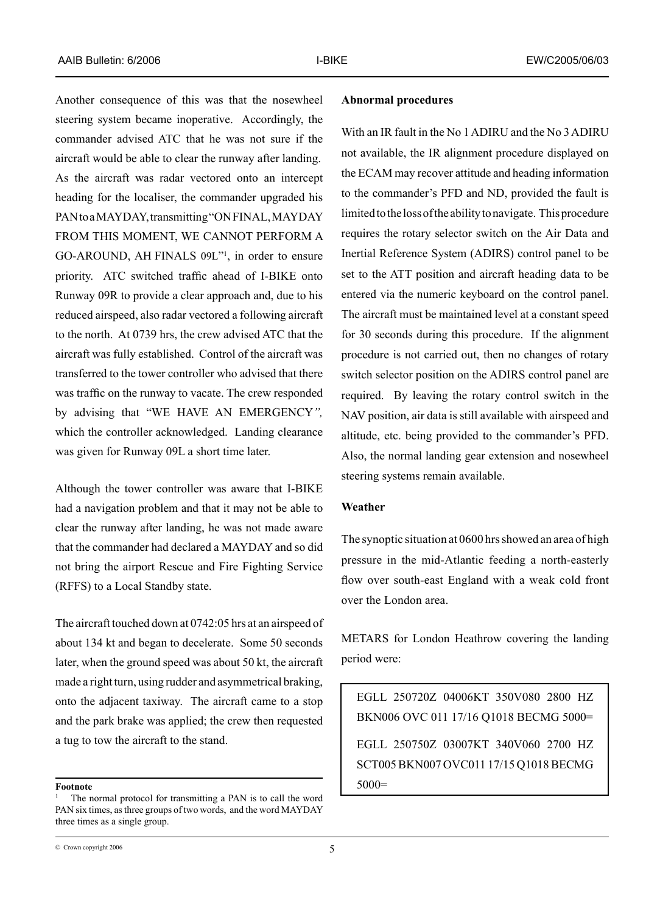Another consequence of this was that the nosewheel steering system became inoperative. Accordingly, the commander advised ATC that he was not sure if the aircraft would be able to clear the runway after landing. As the aircraft was radar vectored onto an intercept heading for the localiser, the commander upgraded his PAN to a MAYDAY, transmitting "ON FINAL, MAYDAY from this moment, we cannot perform a GO-AROUND, AH FINALS  $0.9L$ <sup> $n$ </sup>, in order to ensure priority. ATC switched traffic ahead of I-BIKE onto Runway 09R to provide a clear approach and, due to his reduced airspeed, also radar vectored a following aircraft to the north. At 0739 hrs, the crew advised ATC that the aircraft was fully established. Control of the aircraft was transferred to the tower controller who advised that there was traffic on the runway to vacate. The crew responded by advising that "we have an emergency*",* which the controller acknowledged. Landing clearance was given for Runway 09L a short time later.

Although the tower controller was aware that I-BIKE had a navigation problem and that it may not be able to clear the runway after landing, he was not made aware that the commander had declared a MAYDAY and so did not bring the airport Rescue and Fire Fighting Service (RFFS) to a Local Standby state.

The aircraft touched down at 0742:05 hrs at an airspeed of about 134 kt and began to decelerate. Some 50 seconds later, when the ground speed was about 50 kt, the aircraft made a right turn, using rudder and asymmetrical braking, onto the adjacent taxiway. The aircraft came to a stop and the park brake was applied; the crew then requested a tug to tow the aircraft to the stand.

#### **Abnormal procedures**

With an IR fault in the No 1 ADIRU and the No 3 ADIRU not available, the IR alignment procedure displayed on the ECAM may recover attitude and heading information to the commander's PFD and ND, provided the fault is limited to the loss of the ability to navigate. This procedure requires the rotary selector switch on the Air Data and Inertial Reference System (ADIRS) control panel to be set to the ATT position and aircraft heading data to be entered via the numeric keyboard on the control panel. The aircraft must be maintained level at a constant speed for 30 seconds during this procedure. If the alignment procedure is not carried out, then no changes of rotary switch selector position on the ADIRS control panel are required. By leaving the rotary control switch in the NAV position, air data is still available with airspeed and altitude, etc. being provided to the commander's PFD. Also, the normal landing gear extension and nosewheel steering systems remain available.

#### **Weather**

The synoptic situation at 0600 hrs showed an area of high pressure in the mid-Atlantic feeding a north-easterly flow over south-east England with a weak cold front over the London area.

METARS for London Heathrow covering the landing period were:

EGLL 250720Z 04006KT 350V080 2800 HZ BKN006 OVC 011 17/16 Q1018 BECMG 5000= EGLL 250750Z 03007KT 340V060 2700 HZ SCT005 BKN007 OVC011 17/15 Q1018 BECMG  $5000=$ 

**Footnote**

The normal protocol for transmitting a PAN is to call the word PAN six times, as three groups of two words, and the word MAYDAY three times as a single group.

<sup>©</sup> Crown copyright 2006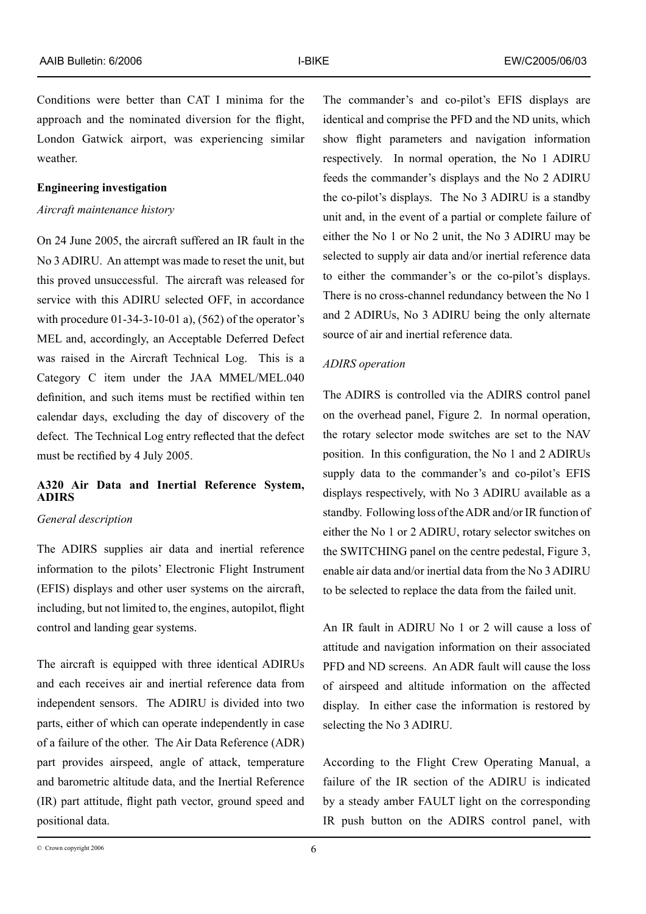Conditions were better than CAT I minima for the approach and the nominated diversion for the flight, London Gatwick airport, was experiencing similar weather.

#### **Engineering investigation**

## *Aircraft maintenance history*

On 24 June 2005, the aircraft suffered an IR fault in the No 3 ADIRU. An attempt was made to reset the unit, but this proved unsuccessful. The aircraft was released for service with this ADIRU selected OFF, in accordance with procedure  $01-34-3-10-01$  a),  $(562)$  of the operator's MEL and, accordingly, an Acceptable Deferred Defect was raised in the Aircraft Technical Log. This is a Category C item under the JAA MMEL/MEL.040 definition, and such items must be rectified within ten calendar days, excluding the day of discovery of the defect. The Technical Log entry reflected that the defect must be rectified by 4 July 2005.

# **A320 Air Data and Inertial Reference System, ADIRS**

### *General description*

The ADIRS supplies air data and inertial reference information to the pilots' Electronic Flight Instrument (EFIS) displays and other user systems on the aircraft, including, but not limited to, the engines, autopilot, flight control and landing gear systems.

The aircraft is equipped with three identical ADIRUs and each receives air and inertial reference data from independent sensors. The ADIRU is divided into two parts, either of which can operate independently in case of a failure of the other. The Air Data Reference (ADR) part provides airspeed, angle of attack, temperature and barometric altitude data, and the Inertial Reference (IR) part attitude, flight path vector, ground speed and positional data.

The commander's and co-pilot's EFIS displays are identical and comprise the PFD and the ND units, which show flight parameters and navigation information respectively. In normal operation, the No 1 ADIRU feeds the commander's displays and the No 2 ADIRU the co-pilot's displays. The No 3 ADIRU is a standby unit and, in the event of a partial or complete failure of either the No 1 or No 2 unit, the No 3 ADIRU may be selected to supply air data and/or inertial reference data to either the commander's or the co-pilot's displays. There is no cross-channel redundancy between the No 1 and 2 ADIRUs, No 3 ADIRU being the only alternate source of air and inertial reference data.

### *ADIRS operation*

The ADIRS is controlled via the ADIRS control panel on the overhead panel, Figure 2. In normal operation, the rotary selector mode switches are set to the NAV position. In this configuration, the No 1 and 2 ADIRUs supply data to the commander's and co-pilot's EFIS displays respectively, with No 3 ADIRU available as a standby. Following loss of the ADR and/or IR function of either the No 1 or 2 ADIRU, rotary selector switches on the SWITCHING panel on the centre pedestal, Figure 3, enable air data and/or inertial data from the No 3 ADIRU to be selected to replace the data from the failed unit.

An IR fault in ADIRU No 1 or 2 will cause a loss of attitude and navigation information on their associated PFD and ND screens. An ADR fault will cause the loss of airspeed and altitude information on the affected display. In either case the information is restored by selecting the No 3 ADIRU.

According to the Flight Crew Operating Manual, a failure of the IR section of the ADIRU is indicated by a steady amber FAULT light on the corresponding IR push button on the ADIRS control panel, with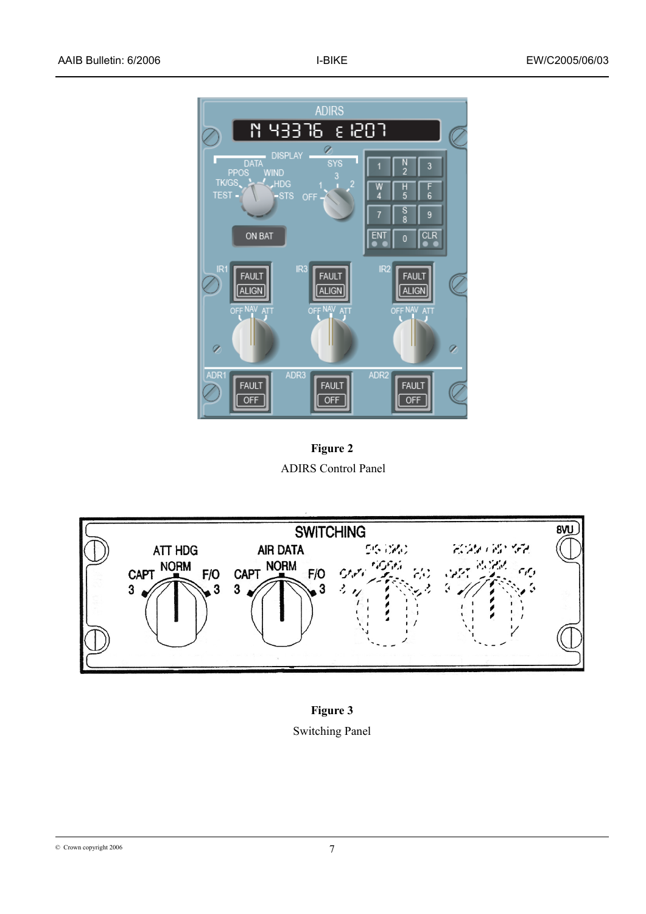

**Figure 2** ADIRS Control Panel



**Figure 3**  Switching Panel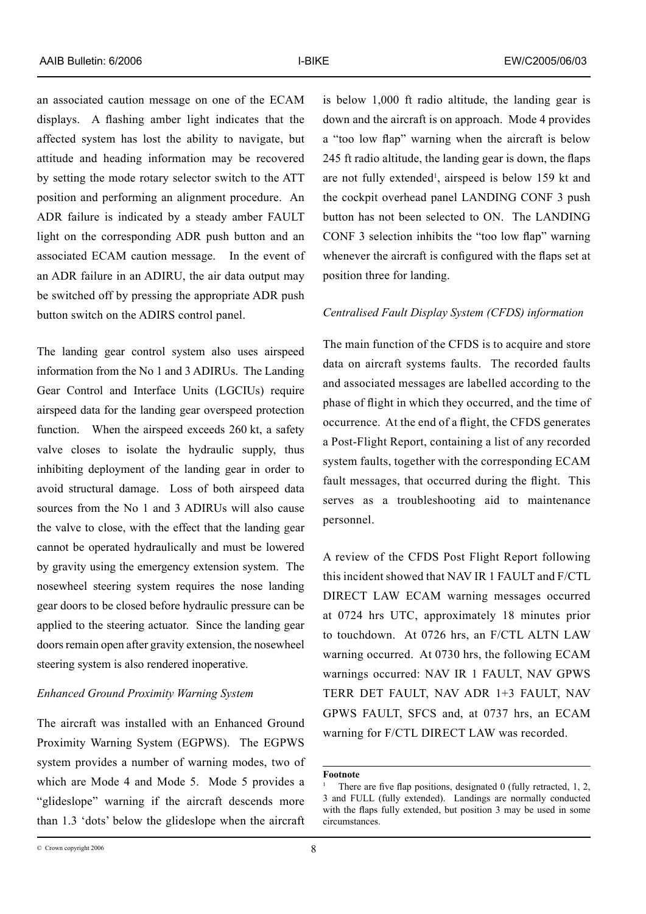an associated caution message on one of the ECAM displays. A flashing amber light indicates that the affected system has lost the ability to navigate, but attitude and heading information may be recovered by setting the mode rotary selector switch to the ATT position and performing an alignment procedure. An ADR failure is indicated by a steady amber FAULT light on the corresponding ADR push button and an associated ECAM caution message. In the event of an ADR failure in an ADIRU, the air data output may be switched off by pressing the appropriate ADR push button switch on the ADIRS control panel.

The landing gear control system also uses airspeed information from the No 1 and 3 ADIRUs. The Landing Gear Control and Interface Units (LGCIUs) require airspeed data for the landing gear overspeed protection function. When the airspeed exceeds 260 kt, a safety valve closes to isolate the hydraulic supply, thus inhibiting deployment of the landing gear in order to avoid structural damage. Loss of both airspeed data sources from the No 1 and 3 ADIRUs will also cause the valve to close, with the effect that the landing gear cannot be operated hydraulically and must be lowered by gravity using the emergency extension system. The nosewheel steering system requires the nose landing gear doors to be closed before hydraulic pressure can be applied to the steering actuator. Since the landing gear doors remain open after gravity extension, the nosewheel steering system is also rendered inoperative.

# *Enhanced Ground Proximity Warning System*

The aircraft was installed with an Enhanced Ground Proximity Warning System (EGPWS). The EGPWS system provides a number of warning modes, two of which are Mode 4 and Mode 5. Mode 5 provides a "glideslope" warning if the aircraft descends more than 1.3 'dots' below the glideslope when the aircraft

is below 1,000 ft radio altitude, the landing gear is down and the aircraft is on approach. Mode 4 provides a "too low flap" warning when the aircraft is below 245 ft radio altitude, the landing gear is down, the flaps are not fully extended , airspeed is below 159 kt and the cockpit overhead panel LANDING CONF 3 push button has not been selected to ON. The LANDING CONF 3 selection inhibits the "too low flap" warning whenever the aircraft is configured with the flaps set at position three for landing.

#### *Centralised Fault Display System (CFDS) information*

The main function of the CFDS is to acquire and store data on aircraft systems faults. The recorded faults and associated messages are labelled according to the phase of flight in which they occurred, and the time of occurrence. At the end of a flight, the CFDS generates a Post-Flight Report, containing a list of any recorded system faults, together with the corresponding ECAM fault messages, that occurred during the flight. This serves as a troubleshooting aid to maintenance personnel.

A review of the CFDS Post Flight Report following this incident showed that NAV IR 1 FAULT and F/CTL DIRECT LAW ECAM warning messages occurred at 0724 hrs UTC, approximately 18 minutes prior to touchdown. At 0726 hrs, an F/CTL ALTN LAW warning occurred. At 0730 hrs, the following ECAM warnings occurred: NAV IR 1 FAULT, NAV GPWS TERR DET FAULT, NAV ADR 1+3 FAULT, NAV GPWS FAULT, SFCS and, at 0737 hrs, an ECAM warning for F/CTL DIRECT LAW was recorded.

#### **Footnote**

There are five flap positions, designated 0 (fully retracted, 1, 2, 3 and FULL (fully extended). Landings are normally conducted with the flaps fully extended, but position 3 may be used in some circumstances.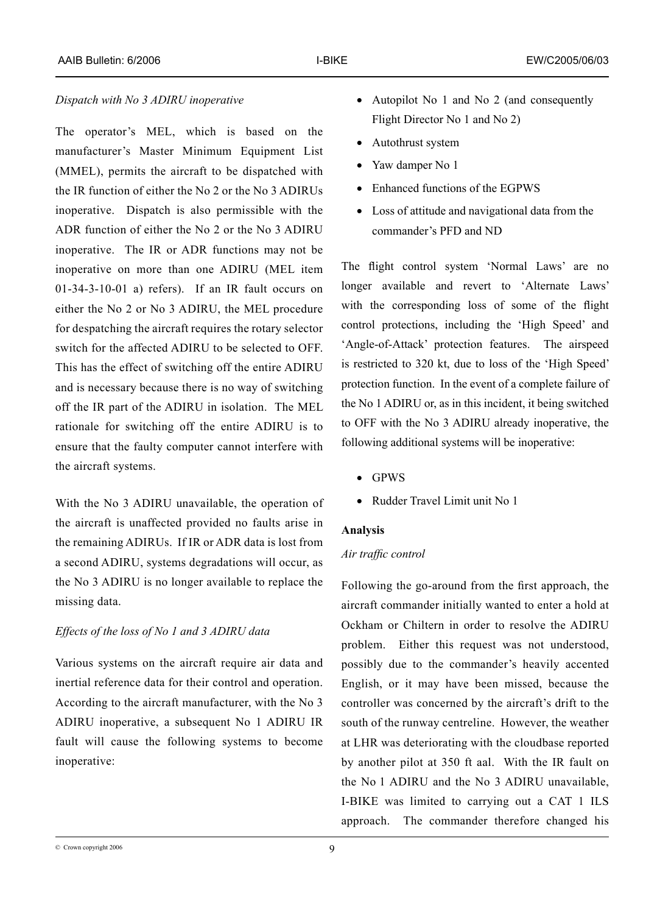# *Dispatch with No 3 ADIRU inoperative*

The operator's MEL, which is based on the manufacturer's Master Minimum Equipment List (MMEL), permits the aircraft to be dispatched with the IR function of either the No 2 or the No 3 ADIRUs inoperative. Dispatch is also permissible with the ADR function of either the No 2 or the No 3 ADIRU inoperative. The IR or ADR functions may not be inoperative on more than one ADIRU (MEL item  $01-34-3-10-01$  a) refers). If an IR fault occurs on either the No 2 or No 3 ADIRU, the MEL procedure for despatching the aircraft requires the rotary selector switch for the affected ADIRU to be selected to OFF. This has the effect of switching off the entire ADIRU and is necessary because there is no way of switching off the IR part of the ADIRU in isolation. The MEL rationale for switching off the entire ADIRU is to ensure that the faulty computer cannot interfere with the aircraft systems.

With the No 3 ADIRU unavailable, the operation of the aircraft is unaffected provided no faults arise in the remaining ADIRUs. If IR or ADR data is lost from a second ADIRU, systems degradations will occur, as the No 3 ADIRU is no longer available to replace the missing data.

### *Effects of the loss of No 1 and 3 ADIRU data*

Various systems on the aircraft require air data and inertial reference data for their control and operation. According to the aircraft manufacturer, with the No 3 ADIRU inoperative, a subsequent No 1 ADIRU IR fault will cause the following systems to become inoperative:

- Autopilot No 1 and No 2 (and consequently Flight Director No 1 and No 2)
- Autothrust system
- Yaw damper No 1
- Enhanced functions of the EGPWS
- Loss of attitude and navigational data from the commander's PFD and ND

The flight control system 'Normal Laws' are no longer available and revert to 'Alternate Laws' with the corresponding loss of some of the flight control protections, including the 'High Speed' and 'Angle-of-Attack' protection features. The airspeed is restricted to 320 kt, due to loss of the 'High Speed' protection function. In the event of a complete failure of the No 1 ADIRU or, as in this incident, it being switched to OFF with the No 3 ADIRU already inoperative, the following additional systems will be inoperative:

- • GPWS
- Rudder Travel Limit unit No 1

### **Analysis**

#### *Air traffic control*

Following the go-around from the first approach, the aircraft commander initially wanted to enter a hold at Ockham or Chiltern in order to resolve the ADIRU problem. Either this request was not understood, possibly due to the commander's heavily accented English, or it may have been missed, because the controller was concerned by the aircraft's drift to the south of the runway centreline. However, the weather at LHR was deteriorating with the cloudbase reported by another pilot at 350 ft aal. With the IR fault on the No 1 ADIRU and the No 3 ADIRU unavailable, I-BIKE was limited to carrying out a CAT 1 ILS approach. The commander therefore changed his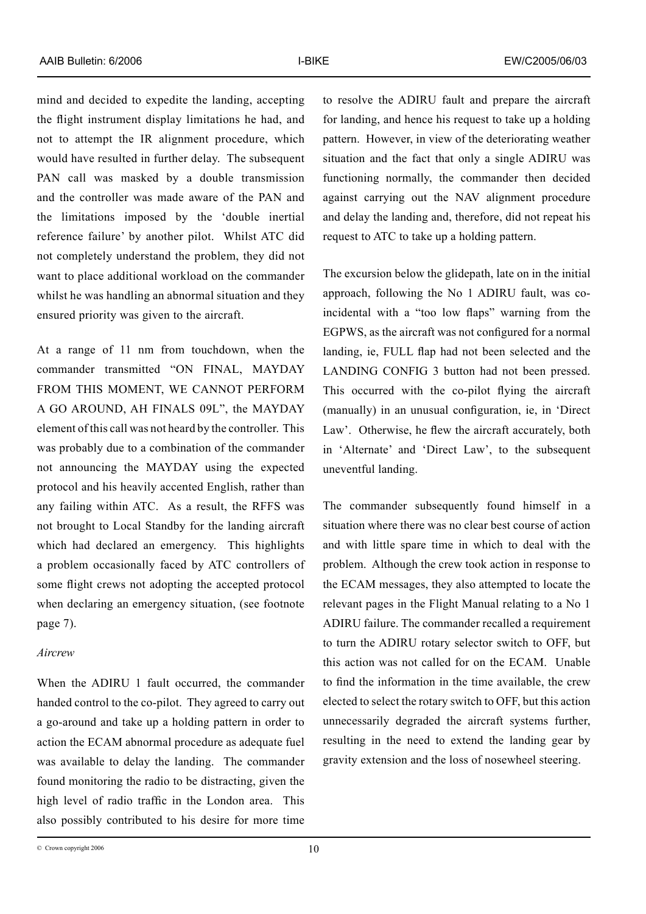mind and decided to expedite the landing, accepting the flight instrument display limitations he had, and not to attempt the IR alignment procedure, which would have resulted in further delay. The subsequent PAN call was masked by a double transmission and the controller was made aware of the PAN and the limitations imposed by the 'double inertial reference failure' by another pilot. Whilst ATC did not completely understand the problem, they did not want to place additional workload on the commander whilst he was handling an abnormal situation and they ensured priority was given to the aircraft.

At a range of 11 nm from touchdown, when the commander transmitted "ON FINAL, MAYDAY FROM THIS MOMENT, WE CANNOT PERFORM A GO AROUND, AH FINALS 09L", the MAYDAY element of this call was not heard by the controller. This was probably due to a combination of the commander not announcing the MAYDAY using the expected protocol and his heavily accented English, rather than any failing within ATC. As a result, the RFFS was not brought to Local Standby for the landing aircraft which had declared an emergency. This highlights a problem occasionally faced by ATC controllers of some flight crews not adopting the accepted protocol when declaring an emergency situation, (see footnote page 7).

# *Aircrew*

When the ADIRU 1 fault occurred, the commander handed control to the co-pilot. They agreed to carry out a go-around and take up a holding pattern in order to action the ECAM abnormal procedure as adequate fuel was available to delay the landing. The commander found monitoring the radio to be distracting, given the high level of radio traffic in the London area. This also possibly contributed to his desire for more time to resolve the ADIRU fault and prepare the aircraft for landing, and hence his request to take up a holding pattern. However, in view of the deteriorating weather situation and the fact that only a single ADIRU was functioning normally, the commander then decided against carrying out the NAV alignment procedure and delay the landing and, therefore, did not repeat his request to ATC to take up a holding pattern.

The excursion below the glidepath, late on in the initial approach, following the No 1 ADIRU fault, was coincidental with a "too low flaps" warning from the EGPWS, as the aircraft was not configured for a normal landing, ie, FULL flap had not been selected and the LANDING CONFIG 3 button had not been pressed. This occurred with the co-pilot flying the aircraft (manually) in an unusual configuration, ie, in 'Direct Law'. Otherwise, he flew the aircraft accurately, both in 'Alternate' and 'Direct Law', to the subsequent uneventful landing.

The commander subsequently found himself in a situation where there was no clear best course of action and with little spare time in which to deal with the problem. Although the crew took action in response to the ECAM messages, they also attempted to locate the relevant pages in the Flight Manual relating to a No 1 ADIRU failure. The commander recalled a requirement to turn the ADIRU rotary selector switch to OFF, but this action was not called for on the ECAM. Unable to find the information in the time available, the crew elected to select the rotary switch to OFF, but this action unnecessarily degraded the aircraft systems further, resulting in the need to extend the landing gear by gravity extension and the loss of nosewheel steering.